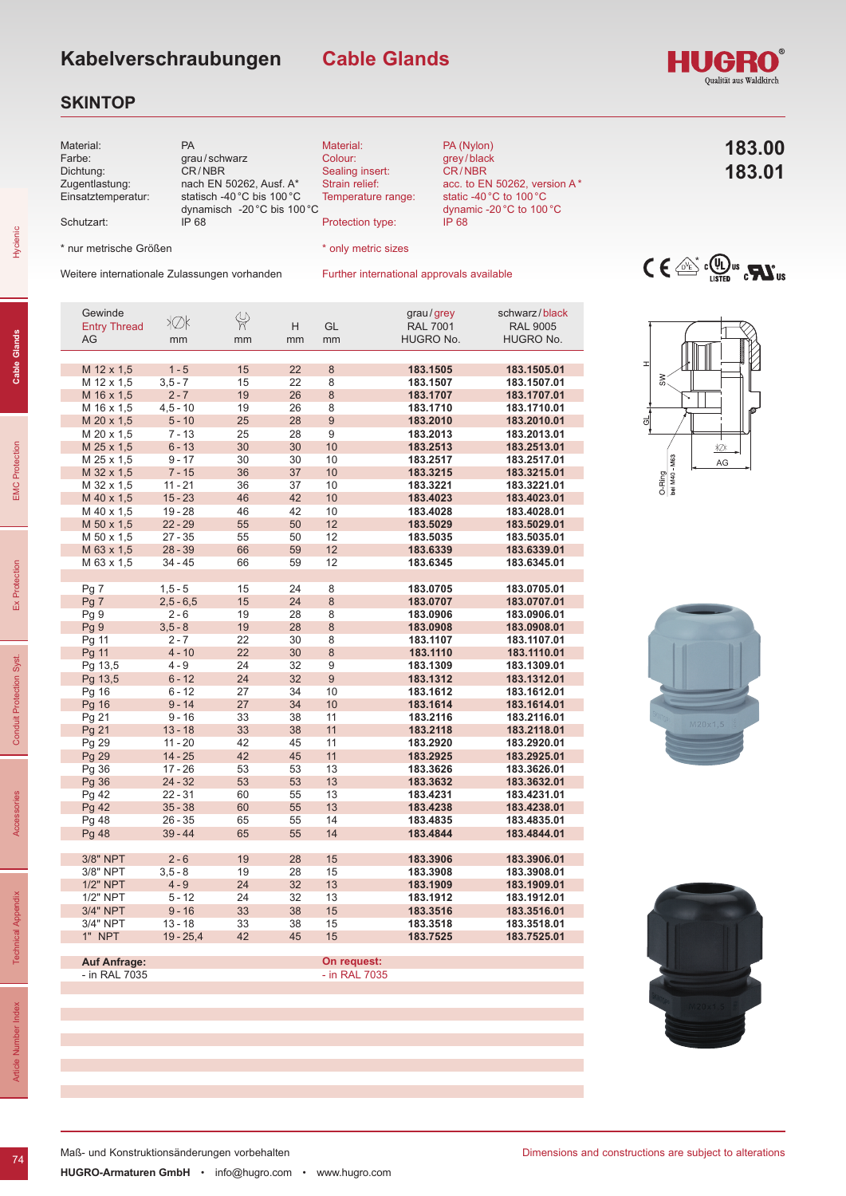**Cable Glands**

### **SKINTOP**



| Gewinde             | ≯Øk         | $\frac{\omega}{\pi}$ |    |    | grau/grey       | schwarz / black |
|---------------------|-------------|----------------------|----|----|-----------------|-----------------|
| <b>Entry Thread</b> |             |                      | H. | GL | <b>RAL 7001</b> | <b>RAL 9005</b> |
| AG                  | mm          | mm                   | mm | mm | HUGRO No.       | HUGRO No.       |
|                     |             |                      |    |    |                 |                 |
| M 12 x 1,5          | $1 - 5$     | 15                   | 22 | 8  | 183.1505        | 183.1505.01     |
| M 12 x 1,5          | $3, 5 - 7$  | 15                   | 22 | 8  | 183.1507        | 183.1507.01     |
| M 16 x 1,5          | $2 - 7$     | 19                   | 26 | 8  | 183.1707        | 183.1707.01     |
| M 16 x 1,5          | $4,5 - 10$  | 19                   | 26 | 8  | 183.1710        | 183.1710.01     |
| M 20 x 1,5          | $5 - 10$    | 25                   | 28 | 9  | 183.2010        | 183.2010.01     |
| M 20 x 1,5          | $7 - 13$    | 25                   | 28 | 9  | 183.2013        | 183.2013.01     |
| M 25 x 1,5          | $6 - 13$    | 30                   | 30 | 10 | 183.2513        | 183.2513.01     |
| M 25 x 1,5          | $9 - 17$    | 30                   | 30 | 10 | 183.2517        | 183.2517.01     |
| M 32 x 1,5          | $7 - 15$    | 36                   | 37 | 10 | 183.3215        | 183.3215.01     |
| M 32 x 1,5          | 11 - 21     | 36                   | 37 | 10 | 183.3221        | 183.3221.01     |
| M 40 x 1,5          | $15 - 23$   | 46                   | 42 | 10 | 183.4023        | 183.4023.01     |
| M 40 x 1,5          | $19 - 28$   | 46                   | 42 | 10 | 183.4028        | 183.4028.01     |
| M 50 x 1,5          | $22 - 29$   | 55                   | 50 | 12 | 183.5029        | 183.5029.01     |
| M 50 x 1,5          | $27 - 35$   | 55                   | 50 | 12 | 183.5035        | 183.5035.01     |
| M 63 x 1,5          | $28 - 39$   | 66                   | 59 | 12 | 183.6339        | 183.6339.01     |
| M 63 x 1,5          | 34 - 45     | 66                   | 59 | 12 | 183.6345        | 183.6345.01     |
|                     |             |                      |    |    |                 |                 |
| Pg 7                | $1, 5 - 5$  | 15                   | 24 | 8  | 183.0705        | 183.0705.01     |
| Pg <sub>7</sub>     | $2,5 - 6,5$ | 15                   | 24 | 8  | 183.0707        | 183.0707.01     |
| Pg9                 | 2 - 6       | 19                   | 28 | 8  | 183.0906        | 183.0906.01     |
| Pg <sub>9</sub>     | $3,5 - 8$   | 19                   | 28 | 8  | 183.0908        | 183.0908.01     |
| Pg 11               | 2 - 7       | 22                   | 30 | 8  | 183.1107        | 183.1107.01     |
| Pg 11               | $4 - 10$    | 22                   | 30 | 8  | 183.1110        | 183.1110.01     |
| Pg 13,5             | $4 - 9$     | 24                   | 32 | 9  | 183.1309        | 183.1309.01     |
| Pg 13,5             | $6 - 12$    | 24                   | 32 | 9  | 183.1312        | 183.1312.01     |
| Pg 16               | $6 - 12$    | 27                   | 34 | 10 | 183.1612        | 183.1612.01     |
| Pg 16               | $9 - 14$    | 27                   | 34 | 10 | 183.1614        | 183.1614.01     |
| Pg 21               | $9 - 16$    | 33                   | 38 | 11 | 183.2116        | 183.2116.01     |
| Pg 21               | $13 - 18$   | 33                   | 38 | 11 | 183.2118        | 183.2118.01     |
| Pg 29               | 11 - 20     | 42                   | 45 | 11 | 183.2920        | 183.2920.01     |
| Pg 29               | $14 - 25$   | 42                   | 45 | 11 | 183.2925        | 183.2925.01     |
| Pg 36               | $17 - 26$   | 53                   | 53 | 13 | 183.3626        | 183.3626.01     |
| Pg 36               | $24 - 32$   | 53                   | 53 | 13 | 183.3632        | 183.3632.01     |
| Pg 42               | 22 - 31     | 60                   | 55 | 13 | 183.4231        | 183.4231.01     |
| Pg 42               | $35 - 38$   | 60                   | 55 | 13 | 183.4238        | 183.4238.01     |
| Pg 48               | $26 - 35$   | 65                   | 55 | 14 | 183.4835        | 183.4835.01     |
| Pg 48               | $39 - 44$   | 65                   | 55 | 14 | 183.4844        | 183.4844.01     |
|                     |             |                      |    |    |                 |                 |
| 3/8" NPT            | $2 - 6$     | 19                   | 28 | 15 | 183.3906        | 183.3906.01     |
| 3/8" NPT            | $3, 5 - 8$  | 19                   | 28 | 15 | 183.3908        | 183.3908.01     |
| 1/2" NPT            | $4 - 9$     | 24                   | 32 | 13 | 183.1909        | 183.1909.01     |
| 1/2" NPT            | $5 - 12$    | 24                   | 32 | 13 | 183.1912        | 183.1912.01     |
| 3/4" NPT            | $9 - 16$    | 33                   | 38 | 15 | 183.3516        | 183.3516.01     |
| 3/4" NPT            | $13 - 18$   | 33                   | 38 | 15 | 183.3518        | 183.3518.01     |
| 1" NPT              | $19 - 25,4$ | 42                   | 45 | 15 | 183.7525        | 183.7525.01     |
|                     |             |                      |    |    |                 |                 |

**On request:** - in RAL 7035



 $AC$ 

**HUGRO** Oualität aus Waldkirch





Hycienic

**Auf Anfrage:** - in RAL 7035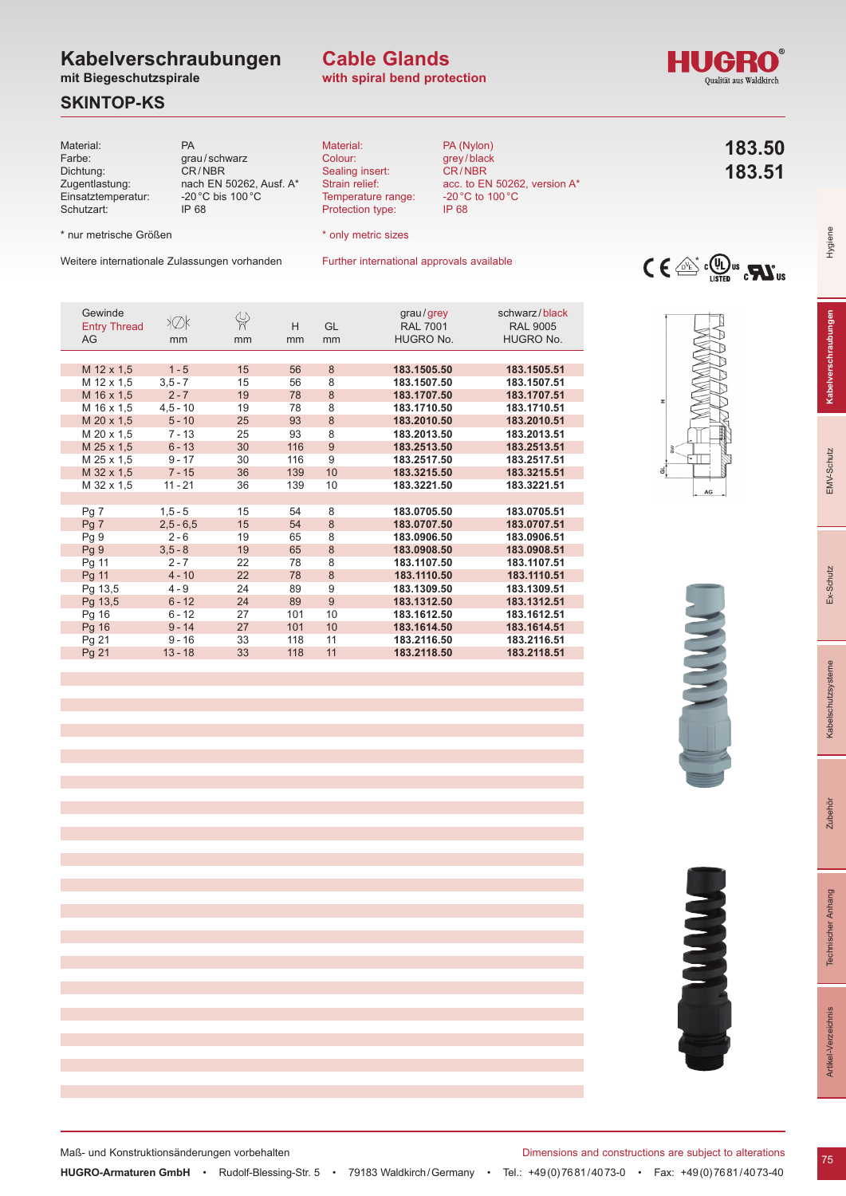# **Kabelverschraubungen**

**mit Biegeschutzspirale**

### **SKINTOP-KS**

| Material:<br>Farbe:<br>Dichtung:<br>Zugentlastung:<br>Einsatztemperatur:<br>Schutzart: | PA<br>CR/NBR<br>IP 68 | grau/schwarz<br>nach EN 50262, Ausf. A*<br>-20 $^{\circ}$ C bis 100 $^{\circ}$ C |         | Material:<br>Colour:<br>Sealing insert:<br>Strain relief:<br>Protection type: | Temperature range:<br><b>IP 68</b>               | PA (Nylon)<br>grey/black<br>CR/NBR<br>acc. to EN 50262, version A*<br>-20 $^{\circ}$ C to 100 $^{\circ}$ C | 183.50<br>183.51                                                                                                             |
|----------------------------------------------------------------------------------------|-----------------------|----------------------------------------------------------------------------------|---------|-------------------------------------------------------------------------------|--------------------------------------------------|------------------------------------------------------------------------------------------------------------|------------------------------------------------------------------------------------------------------------------------------|
| * nur metrische Größen                                                                 |                       |                                                                                  |         | * only metric sizes                                                           |                                                  |                                                                                                            |                                                                                                                              |
| Weitere internationale Zulassungen vorhanden                                           |                       |                                                                                  |         |                                                                               | Further international approvals available        |                                                                                                            | $C \in \mathbb{C}^*$ $\mathbb{C}$ $\mathbb{U}$ $\mathbb{U}$ $\mathbb{U}$ $\mathbb{C}$ $\mathbf{W}$ $\mathbb{U}$ $\mathbb{U}$ |
| Gewinde<br><b>Entry Thread</b><br>AG                                                   | ≯Øk<br>mm             | $\frac{\omega}{\eta}$<br>mm                                                      | H<br>mm | GL<br>mm                                                                      | grau/grey<br><b>RAL 7001</b><br><b>HUGRO No.</b> | schwarz/black<br><b>RAL 9005</b><br><b>HUGRO No.</b>                                                       |                                                                                                                              |
| M 12 x 1,5                                                                             | $1 - 5$               | 15                                                                               | 56      | 8                                                                             | 183.1505.50                                      | 183.1505.51                                                                                                | $\mathbf x$                                                                                                                  |
| M 12 x 1,5                                                                             | $3,5 - 7$             | 15                                                                               | 56      | 8                                                                             | 183.1507.50                                      | 183.1507.51                                                                                                |                                                                                                                              |
| M 16 x 1,5                                                                             | $2 - 7$               | 19                                                                               | 78      | 8                                                                             | 183.1707.50                                      | 183.1707.51                                                                                                |                                                                                                                              |
| M 16 x 1,5                                                                             | $4,5 - 10$            | 19                                                                               | 78      | 8                                                                             | 183.1710.50                                      | 183.1710.51                                                                                                |                                                                                                                              |
| M 20 x 1,5                                                                             | $5 - 10$              | 25                                                                               | 93      | 8                                                                             | 183.2010.50                                      | 183.2010.51                                                                                                |                                                                                                                              |
| M 20 x 1,5                                                                             | $7 - 13$              | 25                                                                               | 93      | 8                                                                             | 183.2013.50                                      | 183.2013.51                                                                                                |                                                                                                                              |
| M 25 x 1,5                                                                             | $6 - 13$              | 30                                                                               | 116     | 9                                                                             | 183.2513.50                                      | 183.2513.51                                                                                                |                                                                                                                              |
| M 25 x 1,5                                                                             | $9 - 17$              | 30                                                                               | 116     | 9                                                                             | 183.2517.50                                      | 183.2517.51                                                                                                |                                                                                                                              |
| M 32 x 1,5                                                                             | $7 - 15$              | 36                                                                               | 139     | 10                                                                            | 183.3215.50                                      | 183.3215.51                                                                                                | ಕ                                                                                                                            |
| M 32 x 1,5                                                                             | $11 - 21$             | 36                                                                               | 139     | 10                                                                            | 183.3221.50                                      | 183.3221.51                                                                                                | $\mathsf{AG}$                                                                                                                |
| Pq 7                                                                                   | $1, 5 - 5$            | 15                                                                               | 54      | 8                                                                             | 183.0705.50                                      | 183.0705.51                                                                                                |                                                                                                                              |
| Pg 7                                                                                   | $2,5 - 6,5$           | 15                                                                               | 54      | 8                                                                             | 183,0707.50                                      | 183.0707.51                                                                                                |                                                                                                                              |
| Pg 9                                                                                   | $2 - 6$               | 19                                                                               | 65      | 8                                                                             | 183.0906.50                                      | 183.0906.51                                                                                                |                                                                                                                              |
| Pg 9                                                                                   | $3,5 - 8$             | 19                                                                               | 65      | 8                                                                             | 183.0908.50                                      | 183.0908.51                                                                                                |                                                                                                                              |
| Pg 11                                                                                  | $2 - 7$               | 22                                                                               | 78      | 8                                                                             | 183.1107.50                                      | 183.1107.51                                                                                                |                                                                                                                              |
| Pg 11                                                                                  | $4 - 10$              | 22                                                                               | 78      | 8                                                                             | 183.1110.50                                      | 183.1110.51                                                                                                |                                                                                                                              |
| Pg 13,5                                                                                | $4 - 9$               | 24                                                                               | 89      | 9                                                                             | 183.1309.50                                      | 183.1309.51                                                                                                |                                                                                                                              |
| Pg 13,5                                                                                | $6 - 12$              | 24                                                                               | 89      | 9                                                                             | 183.1312.50                                      | 183.1312.51                                                                                                |                                                                                                                              |
| Pg 16                                                                                  | $6 - 12$              | 27                                                                               | 101     | 10                                                                            | 183.1612.50                                      | 183.1612.51                                                                                                |                                                                                                                              |
| Pg 16                                                                                  | $9 - 14$              | 27                                                                               | 101     | 10                                                                            | 183.1614.50                                      | 183.1614.51                                                                                                |                                                                                                                              |
| Pg 21                                                                                  | $9 - 16$              | 33                                                                               | 118     | 11                                                                            | 183.2116.50                                      | 183.2116.51                                                                                                |                                                                                                                              |

**with spiral bend protection Cable Glands**

Pg 21 13 - 18 33 118 11 **183.2118.50 183.2118.51**

Pg 21 9 - 16 33 118 11 **183.2116.50 183.2116.51**





Hygiene

Zubehör

Maß- und Konstruktionsänderungen vorbehalten **Dimensions and constructions are subject to alterations** 



**HUGRO-Armaturen GmbH** • Rudolf-Blessing-Str. 5 • 79183 Waldkirch/Germany • Tel.: +49(0)7681/4073-0 • Fax: +49(0)7681/4073-40